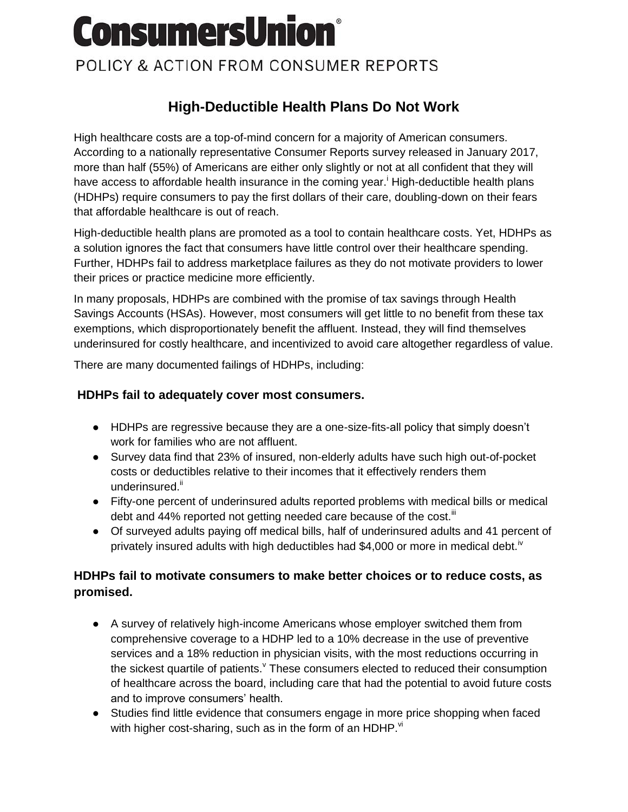# **ConsumersUnion®**

## POLICY & ACTION FROM CONSUMER REPORTS

### **High-Deductible Health Plans Do Not Work**

High healthcare costs are a top-of-mind concern for a majority of American consumers. According to a nationally representative Consumer Reports survey released in January 2017, more than half (55%) of Americans are either only slightly or not at all confident that they will have access to affordable health insurance in the coming year.<sup> $\mathbf{i}$ </sup> High-deductible health plans (HDHPs) require consumers to pay the first dollars of their care, doubling-down on their fears that affordable healthcare is out of reach.

High-deductible health plans are promoted as a tool to contain healthcare costs. Yet, HDHPs as a solution ignores the fact that consumers have little control over their healthcare spending. Further, HDHPs fail to address marketplace failures as they do not motivate providers to lower their prices or practice medicine more efficiently.

In many proposals, HDHPs are combined with the promise of tax savings through Health Savings Accounts (HSAs). However, most consumers will get little to no benefit from these tax exemptions, which disproportionately benefit the affluent. Instead, they will find themselves underinsured for costly healthcare, and incentivized to avoid care altogether regardless of value.

There are many documented failings of HDHPs, including:

#### **HDHPs fail to adequately cover most consumers.**

- HDHPs are regressive because they are a one-size-fits-all policy that simply doesn't work for families who are not affluent.
- Survey data find that 23% of insured, non-elderly adults have such high out-of-pocket costs or deductibles relative to their incomes that it effectively renders them underinsured.<sup>ii</sup>
- Fifty-one percent of underinsured adults reported problems with medical bills or medical debt and 44% reported not getting needed care because of the cost.<sup>III</sup>
- Of surveyed adults paying off medical bills, half of underinsured adults and 41 percent of privately insured adults with high deductibles had \$4,000 or more in medical debt.<sup>iv</sup>

#### **HDHPs fail to motivate consumers to make better choices or to reduce costs, as promised.**

- A survey of relatively high-income Americans whose employer switched them from comprehensive coverage to a HDHP led to a 10% decrease in the use of preventive services and a 18% reduction in physician visits, with the most reductions occurring in the sickest quartile of patients. These consumers elected to reduced their consumption of healthcare across the board, including care that had the potential to avoid future costs and to improve consumers' health.
- Studies find little evidence that consumers engage in more price shopping when faced with higher cost-sharing, such as in the form of an HDHP. $\mathrm{v}^{\mathrm{i}}$